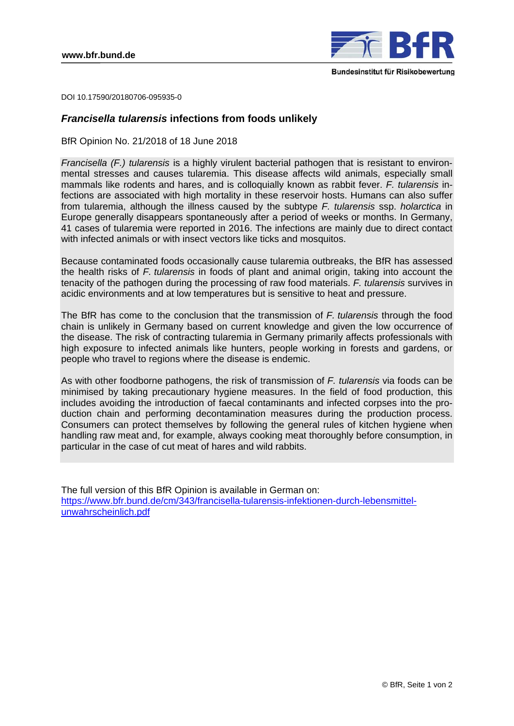

DOI 10.17590/20180706-095935-0

## *Francisella tularensis* **infections from foods unlikely**

BfR Opinion No. 21/2018 of 18 June 2018

*Francisella (F.) tularensis* is a highly virulent bacterial pathogen that is resistant to environmental stresses and causes tularemia. This disease affects wild animals, especially small mammals like rodents and hares, and is colloquially known as rabbit fever. *F. tularensis* infections are associated with high mortality in these reservoir hosts. Humans can also suffer from tularemia, although the illness caused by the subtype *F. tularensis* ssp. *holarctica* in Europe generally disappears spontaneously after a period of weeks or months. In Germany, 41 cases of tularemia were reported in 2016. The infections are mainly due to direct contact with infected animals or with insect vectors like ticks and mosquitos.

Because contaminated foods occasionally cause tularemia outbreaks, the BfR has assessed the health risks of *F. tularensis* in foods of plant and animal origin, taking into account the tenacity of the pathogen during the processing of raw food materials. *F. tularensis* survives in acidic environments and at low temperatures but is sensitive to heat and pressure.

The BfR has come to the conclusion that the transmission of *F. tularensis* through the food chain is unlikely in Germany based on current knowledge and given the low occurrence of the disease. The risk of contracting tularemia in Germany primarily affects professionals with high exposure to infected animals like hunters, people working in forests and gardens, or people who travel to regions where the disease is endemic.

As with other foodborne pathogens, the risk of transmission of *F. tularensis* via foods can be minimised by taking precautionary hygiene measures. In the field of food production, this includes avoiding the introduction of faecal contaminants and infected corpses into the production chain and performing decontamination measures during the production process. Consumers can protect themselves by following the general rules of kitchen hygiene when handling raw meat and, for example, always cooking meat thoroughly before consumption, in particular in the case of cut meat of hares and wild rabbits.

The full version of this BfR Opinion is available in German on: https://www.bfr.bund.de/cm/343/francisella-tularensis-infektionen-durch-lebensmittelunwahrscheinlich.pdf